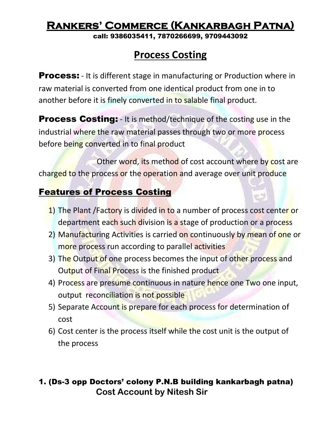call: 9386035411, 7870266699, 9709443092

## **Process Costing**

**Process:** - It is different stage in manufacturing or Production where in raw material is converted from one identical product from one in to another before it is finely converted in to salable final product.

**Process Costing:** - It is method/technique of the costing use in the industrial where the raw material passes through two or more process before being converted in to final product

Other word, its method of cost account where by cost are charged to the process or the operation and average over unit produce

### Features of Process Costing

- 1) The Plant /Factory is divided in to a number of process cost center or department each such division is a stage of production or a process
- 2) Manufacturing Activities is carried on continuously by mean of one or more process run according to parallel activities
- 3) The Output of one process becomes the input of other process and Output of Final Process is the finished product
- 4) Process are presume continuous in nature hence one Two one input, output reconciliation is not possible
- 5) Separate Account is prepare for each process for determination of cost
- 6) Cost center is the process itself while the cost unit is the output of the process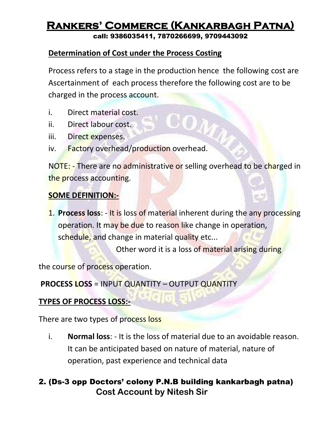call: 9386035411, 7870266699, 9709443092

#### **Determination of Cost under the Process Costing**

Process refers to a stage in the production hence the following cost are Ascertainment of each process therefore the following cost are to be charged in the process account.

- i. Direct material cost.
- ii. Direct labour cost.
- iii. Direct expenses.
- iv. Factory overhead/production overhead.

NOTE: - There are no administrative or selling overhead to be charged in the process accounting.

#### **SOME DEFINITION:-**

1. **Process loss**: - It is loss of material inherent during the any processing operation. It may be due to reason like change in operation, schedule, and change in material quality etc...

Other word it is a loss of material arising during

the course of process operation.

**PROCESS LOSS** = INPUT QUANTITY – OUTPUT QUANTITY

#### **TYPES OF PROCESS LOSS:-**

There are two types of process loss

i. **Normal loss**: - It is the loss of material due to an avoidable reason. It can be anticipated based on nature of material, nature of operation, past experience and technical data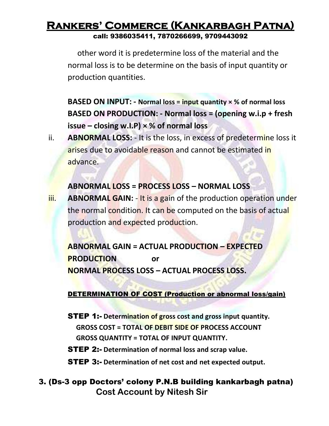### **Rankers' Commerce (Kankarbagh Patna)** call: 9386035411, 7870266699, 9709443092

other word it is predetermine loss of the material and the normal loss is to be determine on the basis of input quantity or production quantities.

**BASED ON INPUT: - Normal loss = input quantity × % of normal loss BASED ON PRODUCTION: - Normal loss = (opening w.i.p + fresh issue – closing w.I.P) × % of normal loss** 

ii. **ABNORMAL LOSS:** - It is the loss, in excess of predetermine loss it arises due to avoidable reason and cannot be estimated in advance.

#### **ABNORMAL LOSS = PROCESS LOSS – NORMAL LOSS**

iii. **ABNORMAL GAIN:** - It is a gain of the production operation under the normal condition. It can be computed on the basis of actual production and expected production.

**ABNORMAL GAIN = ACTUAL PRODUCTION – EXPECTED PRODUCTION or NORMAL PROCESS LOSS – ACTUAL PROCESS LOSS.**

#### DETERMINATION OF COST (Production or abnormal loss/gain)

STEP 1:- **Determination of gross cost and gross input quantity. GROSS COST = TOTAL OF DEBIT SIDE OF PROCESS ACCOUNT GROSS QUANTITY = TOTAL OF INPUT QUANTITY.**

STEP 2:- **Determination of normal loss and scrap value.**

STEP 3:- **Determination of net cost and net expected output.**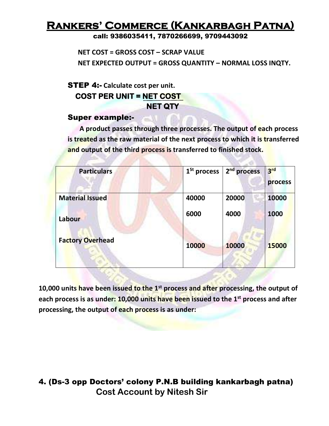call: 9386035411, 7870266699, 9709443092

 **NET COST = GROSS COST – SCRAP VALUE NET EXPECTED OUTPUT = GROSS QUANTITY – NORMAL LOSS INQTY.**

STEP 4:- **Calculate cost per unit. COST PER UNIT = NET COST** 

## **NET QTY**

#### Super example:-

 **A product passes through three processes. The output of each process is treated as the raw material of the next process to which it is transferred and output of the third process is transferred to finished stock.**

| <b>Particulars</b>      | $1St$ process | 2 <sup>nd</sup> process | 3 <sup>rd</sup><br>process |
|-------------------------|---------------|-------------------------|----------------------------|
| <b>Material Issued</b>  | 40000         | 20000                   | 10000                      |
| Labour                  | 6000          | 4000                    | 1000                       |
| <b>Factory Overhead</b> | 10000         | 10000                   | 15000                      |

**10,000 units have been issued to the 1st process and after processing, the output of each process is as under: 10,000 units have been issued to the 1st process and after processing, the output of each process is as under:**